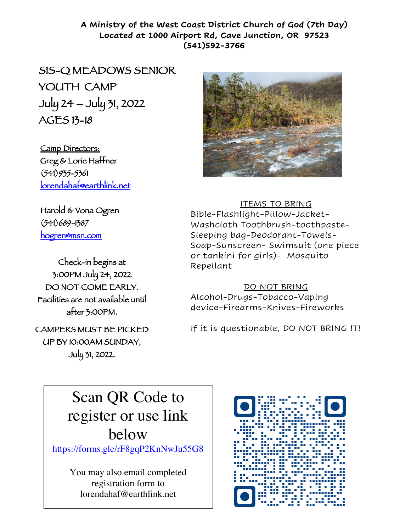## **A Ministry of the West Coast District Church of God (7th Day) Located at 1000 Airport Rd, Cave Junction, OR 97523 (541)592-3766**

SIS-Q MEADOWS SENIOR YOUTH CAMP July 24 – July 31, 2022 AGES 13-18

Camp Directors: Greg & Lorie Haffner (541)935-5361 lorendahaf@earthlink.net

Harold & Vona Ogren (541)689-1387 hogren@msn.com

Check-in begins at 3:00PM July 24, 2022 DO NOT COME EARLY. Facilities are not available until after 3:00PM.

CAMPERS MUST BE PICKED UP BY 10:00AM SUNDAY, July 31, 2022.



### ITEMS TO BRING

Bible-Flashlight-Pillow-Jacket-Washcloth Toothbrush-toothpaste-Sleeping bag-Deodorant-Towels-Soap-Sunscreen- Swimsuit (one piece or tankini for girls)- Mosquito Repellant

#### DO NOT BRING

Alcohol-Drugs-Tobacco-Vaping device-Firearms-Knives-Fireworks

If it is questionable, DO NOT BRING IT!

# Scan QR Code to register or use link below

https://forms.gle/rF8gqP2KnNwJu55G8

You may also email completed registration form to lorendahaf@earthlink.net